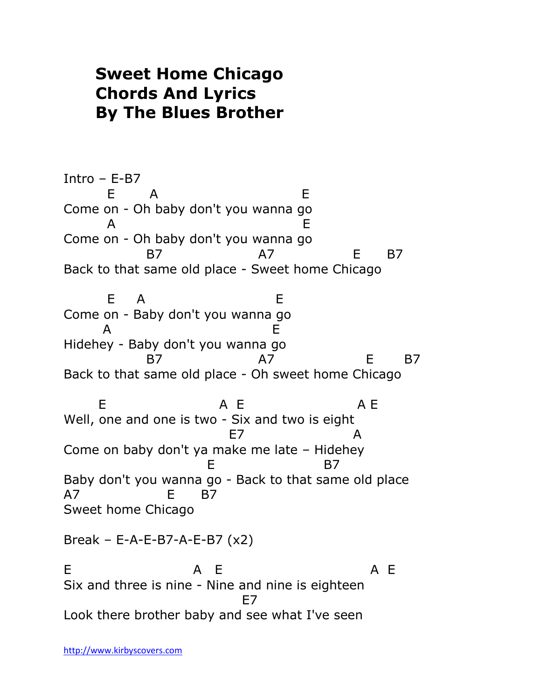## **Sweet Home Chicago Chords And Lyrics By The Blues Brother**

Intro – E-B7 E A E Come on - Oh baby don't you wanna go A E Come on - Oh baby don't you wanna go B7 A7 E B7 Back to that same old place - Sweet home Chicago E A E Come on - Baby don't you wanna go A E Hidehey - Baby don't you wanna go B7 A7 E B7 Back to that same old place - Oh sweet home Chicago E A E A E Well, one and one is two - Six and two is eight entity of the E7 and the E7 and the A Come on baby don't ya make me late – Hidehey E B7 Baby don't you wanna go - Back to that same old place A7 E B7 Sweet home Chicago Break – E-A-E-B7-A-E-B7 (x2) E A E A E Six and three is nine - Nine and nine is eighteen en alternative de la constantidad de la constantidad de la constantidad de la constantidad de la constantidad Look there brother baby and see what I've seen